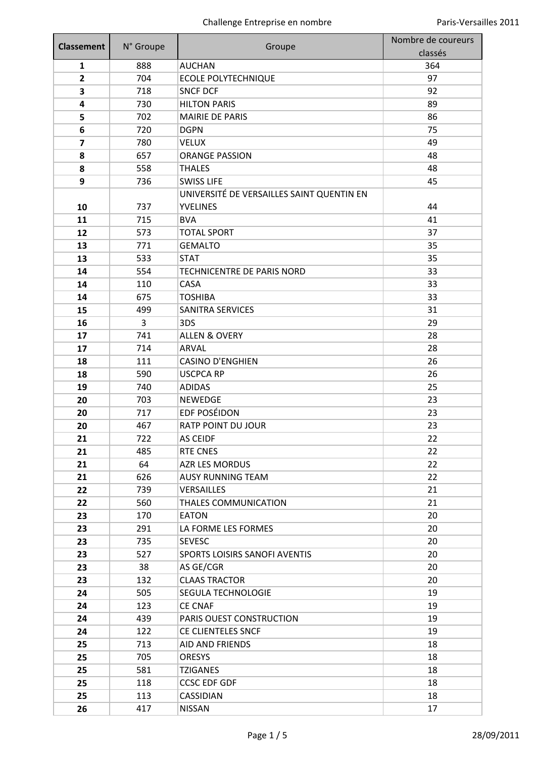| <b>Classement</b> |           |                                           | Nombre de coureurs |
|-------------------|-----------|-------------------------------------------|--------------------|
|                   | N° Groupe | Groupe                                    | classés            |
| 1                 | 888       | <b>AUCHAN</b>                             | 364                |
| $\overline{2}$    | 704       | <b>ECOLE POLYTECHNIQUE</b>                | 97                 |
| 3                 | 718       | <b>SNCF DCF</b>                           | 92                 |
| 4                 | 730       | <b>HILTON PARIS</b>                       | 89                 |
| 5                 | 702       | <b>MAIRIE DE PARIS</b>                    | 86                 |
| 6                 | 720       | <b>DGPN</b>                               | 75                 |
| 7                 | 780       | <b>VELUX</b>                              | 49                 |
| 8                 | 657       | <b>ORANGE PASSION</b>                     | 48                 |
| 8                 | 558       | <b>THALES</b>                             | 48                 |
| 9                 | 736       | <b>SWISS LIFE</b>                         | 45                 |
|                   |           | UNIVERSITÉ DE VERSAILLES SAINT QUENTIN EN |                    |
| 10                | 737       | <b>YVELINES</b>                           | 44                 |
| 11                | 715       | <b>BVA</b>                                | 41                 |
| 12                | 573       | <b>TOTAL SPORT</b>                        | 37                 |
| 13                | 771       | <b>GEMALTO</b>                            | 35                 |
| 13                | 533       | <b>STAT</b>                               | 35                 |
| 14                | 554       | TECHNICENTRE DE PARIS NORD                | 33                 |
| 14                | 110       | CASA                                      | 33                 |
| 14                | 675       | <b>TOSHIBA</b>                            | 33                 |
| 15                | 499       | <b>SANITRA SERVICES</b>                   | 31                 |
| 16                | 3         | 3DS                                       | 29                 |
| 17                | 741       | <b>ALLEN &amp; OVERY</b>                  | 28                 |
| 17                | 714       | ARVAL                                     | 28                 |
| 18                | 111       | <b>CASINO D'ENGHIEN</b>                   | 26                 |
| 18                | 590       | <b>USCPCA RP</b>                          | 26                 |
| 19                | 740       | <b>ADIDAS</b>                             | 25                 |
| 20                | 703       | <b>NEWEDGE</b>                            | 23                 |
| 20                | 717       | <b>EDF POSÉIDON</b>                       | 23                 |
| 20                | 467       | RATP POINT DU JOUR                        | 23                 |
| 21                | 722       | AS CEIDF                                  | 22                 |
| 21                | 485       | RTE CNES                                  | 22                 |
| 21                | 64        | AZR LES MORDUS                            | 22                 |
| 21                | 626       | <b>AUSY RUNNING TEAM</b>                  | 22                 |
| 22                | 739       | <b>VERSAILLES</b>                         | 21                 |
| 22                | 560       | THALES COMMUNICATION                      | 21                 |
| 23                | 170       | <b>EATON</b>                              | 20                 |
| 23                | 291       | LA FORME LES FORMES                       | 20                 |
| 23                | 735       | <b>SEVESC</b>                             | 20                 |
| 23                | 527       | SPORTS LOISIRS SANOFI AVENTIS             | 20                 |
| 23                | 38        | AS GE/CGR                                 | 20                 |
| 23                | 132       | <b>CLAAS TRACTOR</b>                      | 20                 |
| 24                | 505       | SEGULA TECHNOLOGIE                        | 19                 |
| 24                | 123       | <b>CE CNAF</b>                            | 19                 |
| 24                | 439       | PARIS OUEST CONSTRUCTION                  | 19                 |
| 24                | 122       | CE CLIENTELES SNCF                        | 19                 |
| 25                | 713       | <b>AID AND FRIENDS</b>                    | 18                 |
| 25                | 705       | <b>ORESYS</b>                             | 18                 |
| 25                | 581       | <b>TZIGANES</b>                           | 18                 |
| 25                | 118       | <b>CCSC EDF GDF</b>                       | 18                 |
| 25                | 113       | CASSIDIAN                                 | 18                 |
| 26                | 417       | <b>NISSAN</b>                             | 17                 |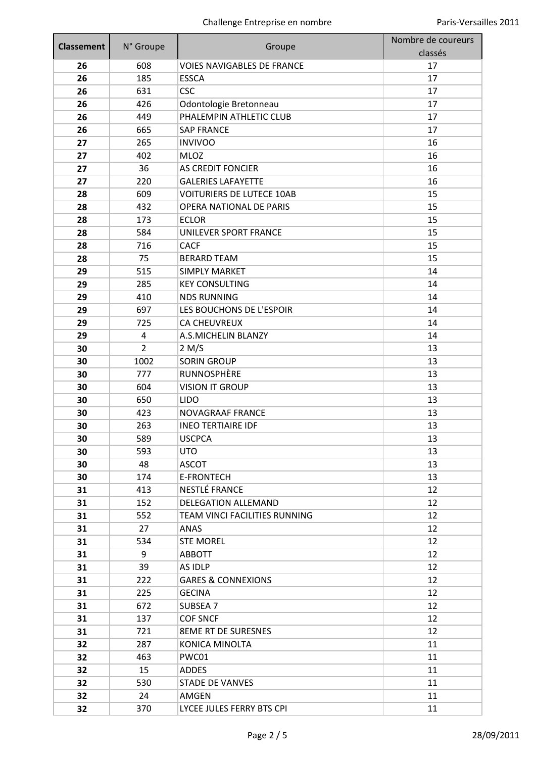| <b>Classement</b> |                         |                                               | Nombre de coureurs |
|-------------------|-------------------------|-----------------------------------------------|--------------------|
|                   | N° Groupe               | Groupe                                        | classés            |
| 26                | 608                     | <b>VOIES NAVIGABLES DE FRANCE</b>             | 17                 |
| 26                | 185                     | <b>ESSCA</b>                                  | 17                 |
| 26                | 631                     | <b>CSC</b>                                    | 17                 |
| 26                | 426                     | Odontologie Bretonneau                        | 17                 |
| 26                | 449                     | PHALEMPIN ATHLETIC CLUB                       | 17                 |
| 26                | 665                     | <b>SAP FRANCE</b>                             | 17                 |
| 27                | 265                     | <b>INVIVOO</b>                                | 16                 |
| 27                | 402                     | <b>MLOZ</b>                                   | 16                 |
| 27                | 36                      | <b>AS CREDIT FONCIER</b>                      | 16                 |
| 27                | 220                     | <b>GALERIES LAFAYETTE</b>                     | 16                 |
| 28                | 609                     | <b>VOITURIERS DE LUTECE 10AB</b>              | 15                 |
| 28                | 432                     | <b>OPERA NATIONAL DE PARIS</b>                | 15                 |
| 28                | 173                     | <b>ECLOR</b>                                  | 15                 |
| 28                | 584                     | UNILEVER SPORT FRANCE                         | 15                 |
| 28                | 716                     | <b>CACF</b>                                   | 15                 |
| 28                | 75                      | <b>BERARD TEAM</b>                            | 15                 |
| 29                | 515                     | <b>SIMPLY MARKET</b>                          | 14                 |
| 29                | 285                     | <b>KEY CONSULTING</b>                         | 14                 |
| 29                | 410                     | <b>NDS RUNNING</b>                            | 14                 |
| 29                | 697                     | LES BOUCHONS DE L'ESPOIR                      | 14                 |
| 29                | 725                     | <b>CA CHEUVREUX</b>                           | 14                 |
| 29                | $\overline{\mathbf{4}}$ | A.S.MICHELIN BLANZY                           | 14                 |
| 30                | $\overline{2}$          | 2 M/S                                         | 13                 |
| 30                | 1002                    | <b>SORIN GROUP</b>                            | 13                 |
| 30                | 777                     | RUNNOSPHÈRE                                   | 13                 |
| 30                | 604                     | <b>VISION IT GROUP</b>                        | 13                 |
| 30                | 650                     | <b>LIDO</b>                                   | 13                 |
| 30                | 423                     | NOVAGRAAF FRANCE                              | 13                 |
| 30                | 263                     | <b>INEO TERTIAIRE IDF</b>                     | 13                 |
| 30                | 589                     | <b>USCPCA</b>                                 | 13                 |
| 30                | 593                     | <b>UTO</b>                                    | 13                 |
| 30                | 48                      | <b>ASCOT</b>                                  | 13                 |
| 30                | 174                     | <b>E-FRONTECH</b>                             | 13                 |
| 31                | 413                     | NESTLÉ FRANCE                                 | 12                 |
| 31                | 152                     | <b>DELEGATION ALLEMAND</b>                    | 12                 |
| 31                | 552                     | TEAM VINCI FACILITIES RUNNING                 | 12                 |
| 31                | 27                      | ANAS                                          | 12                 |
| 31                | 534                     | <b>STE MOREL</b>                              | 12                 |
| 31                | 9                       | <b>ABBOTT</b>                                 | 12                 |
| 31                | 39                      | AS IDLP                                       | 12                 |
| 31                | 222                     | <b>GARES &amp; CONNEXIONS</b>                 | 12                 |
| 31                | 225                     | <b>GECINA</b>                                 | 12                 |
|                   |                         |                                               | 12                 |
| 31                | 672                     | SUBSEA 7                                      | 12                 |
| 31                | 137<br>721              | <b>COF SNCF</b><br><b>8EME RT DE SURESNES</b> | 12                 |
| 31                | 287                     |                                               | 11                 |
| 32                |                         | KONICA MINOLTA                                |                    |
| 32                | 463                     | PWC01                                         | 11                 |
| 32                | 15                      | <b>ADDES</b>                                  | 11                 |
| 32                | 530                     | <b>STADE DE VANVES</b>                        | 11                 |
| 32                | 24                      | AMGEN                                         | 11                 |
| 32                | 370                     | LYCEE JULES FERRY BTS CPI                     | 11                 |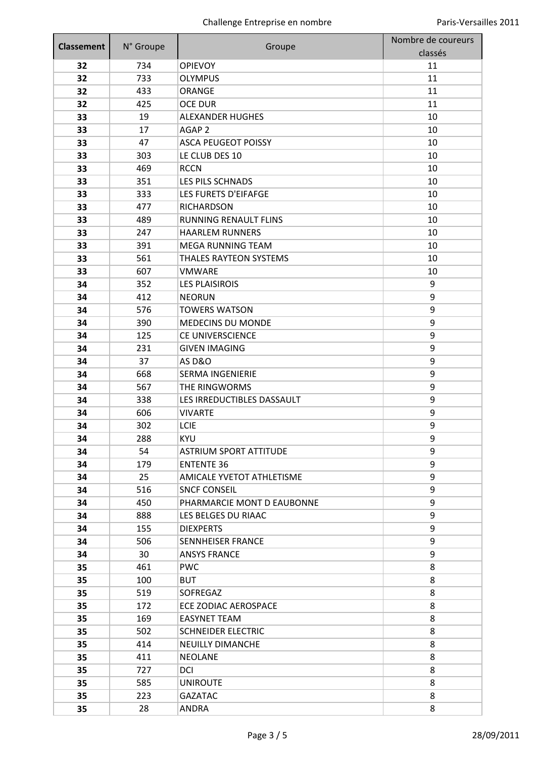| <b>Classement</b> | N° Groupe  | Groupe                        | Nombre de coureurs<br>classés |
|-------------------|------------|-------------------------------|-------------------------------|
| 32                | 734        | <b>OPIEVOY</b>                | 11                            |
| 32                | 733        | <b>OLYMPUS</b>                | 11                            |
| 32                | 433        | ORANGE                        | 11                            |
| 32                | 425        | <b>OCE DUR</b>                | 11                            |
| 33                | 19         | <b>ALEXANDER HUGHES</b>       | 10                            |
| 33                | 17         | AGAP <sub>2</sub>             | 10                            |
| 33                | 47         | <b>ASCA PEUGEOT POISSY</b>    | 10                            |
| 33                | 303        | LE CLUB DES 10                | 10                            |
| 33                | 469        | <b>RCCN</b>                   | 10                            |
| 33                | 351        | LES PILS SCHNADS              | 10                            |
| 33                | 333        | LES FURETS D'EIFAFGE          | 10                            |
| 33                | 477        | <b>RICHARDSON</b>             | 10                            |
| 33                | 489        | <b>RUNNING RENAULT FLINS</b>  | 10                            |
| 33                | 247        | <b>HAARLEM RUNNERS</b>        | 10                            |
| 33                | 391        | <b>MEGA RUNNING TEAM</b>      | 10                            |
| 33                | 561        | <b>THALES RAYTEON SYSTEMS</b> | 10                            |
| 33                | 607        | <b>VMWARE</b>                 | 10                            |
| 34                | 352        | <b>LES PLAISIROIS</b>         | 9                             |
| 34                | 412        | <b>NEORUN</b>                 | 9                             |
| 34                | 576        | <b>TOWERS WATSON</b>          | 9                             |
| 34                | 390        | <b>MEDECINS DU MONDE</b>      | 9                             |
| 34                | 125        | <b>CE UNIVERSCIENCE</b>       | 9                             |
| 34                | 231        | <b>GIVEN IMAGING</b>          | 9                             |
| 34                | 37         | <b>AS D&amp;O</b>             | 9                             |
| 34                | 668        | <b>SERMA INGENIERIE</b>       | 9                             |
| 34                | 567        | THE RINGWORMS                 | 9                             |
| 34                | 338        | LES IRREDUCTIBLES DASSAULT    | 9                             |
| 34                | 606        | <b>VIVARTE</b>                | 9                             |
| 34                | 302        | LCIE                          | 9                             |
| 34                | 288        | <b>KYU</b>                    | 9                             |
| 34                | 54         | <b>ASTRIUM SPORT ATTITUDE</b> | 9                             |
| 34                | 179        | <b>ENTENTE 36</b>             | 9                             |
| 34                | 25         | AMICALE YVETOT ATHLETISME     | 9                             |
| 34                | 516        | <b>SNCF CONSEIL</b>           | 9                             |
| 34                | 450        | PHARMARCIE MONT D EAUBONNE    | 9                             |
| 34                | 888        | LES BELGES DU RIAAC           | 9                             |
| 34                | 155        | <b>DIEXPERTS</b>              | 9                             |
| 34                | 506        | SENNHEISER FRANCE             | 9                             |
| 34                | 30         | <b>ANSYS FRANCE</b>           | 9                             |
| 35                | 461        | <b>PWC</b>                    | 8                             |
| 35                | 100        | <b>BUT</b>                    | 8                             |
| 35                | 519        | SOFREGAZ                      | 8                             |
| 35                | 172        | ECE ZODIAC AEROSPACE          | 8                             |
| 35                | 169        | <b>EASYNET TEAM</b>           | 8                             |
|                   | 502        | <b>SCHNEIDER ELECTRIC</b>     | 8                             |
| 35                |            |                               |                               |
| 35                | 414        | <b>NEUILLY DIMANCHE</b>       | 8                             |
| 35                | 411        | <b>NEOLANE</b>                | 8                             |
| 35                | 727        | DCI                           | 8                             |
| 35                | 585<br>223 | <b>UNIROUTE</b>               | 8<br>8                        |
| 35                |            | <b>GAZATAC</b>                |                               |
| 35                | 28         | ANDRA                         | 8                             |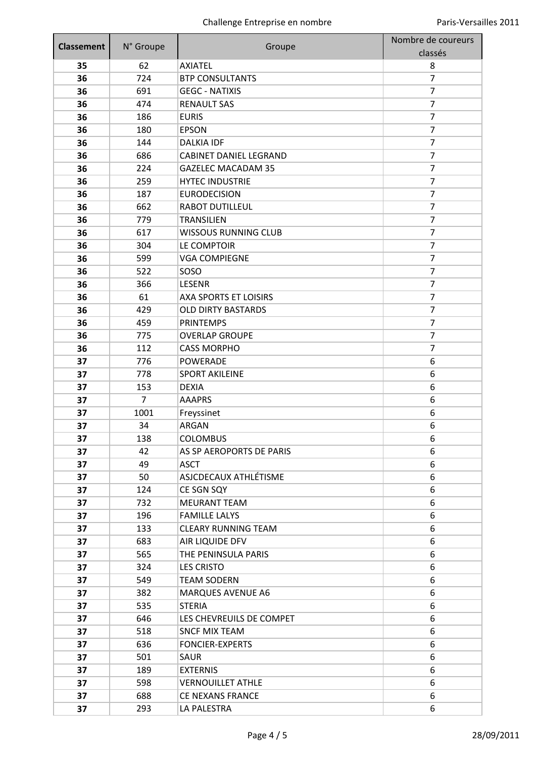| <b>Classement</b> | N° Groupe | Groupe                        | Nombre de coureurs<br>classés |
|-------------------|-----------|-------------------------------|-------------------------------|
| 35                | 62        | <b>AXIATEL</b>                | 8                             |
| 36                | 724       | <b>BTP CONSULTANTS</b>        | 7                             |
| 36                | 691       | <b>GEGC - NATIXIS</b>         | $\overline{7}$                |
| 36                | 474       | <b>RENAULT SAS</b>            | $\overline{7}$                |
| 36                | 186       | <b>EURIS</b>                  | 7                             |
| 36                | 180       | <b>EPSON</b>                  | $\overline{7}$                |
| 36                | 144       | <b>DALKIA IDF</b>             | 7                             |
| 36                | 686       | <b>CABINET DANIEL LEGRAND</b> | $\overline{7}$                |
| 36                | 224       | <b>GAZELEC MACADAM 35</b>     | $\overline{7}$                |
| 36                | 259       | <b>HYTEC INDUSTRIE</b>        | 7                             |
| 36                | 187       | <b>EURODECISION</b>           | $\overline{7}$                |
| 36                | 662       | <b>RABOT DUTILLEUL</b>        | $\overline{7}$                |
| 36                | 779       | <b>TRANSILIEN</b>             | $\overline{7}$                |
| 36                | 617       | <b>WISSOUS RUNNING CLUB</b>   | $\overline{7}$                |
| 36                | 304       | LE COMPTOIR                   | 7                             |
| 36                | 599       | <b>VGA COMPIEGNE</b>          | $\overline{7}$                |
| 36                | 522       | SOSO                          | $\overline{7}$                |
| 36                | 366       | <b>LESENR</b>                 | $\overline{7}$                |
| 36                | 61        | <b>AXA SPORTS ET LOISIRS</b>  | $\overline{7}$                |
| 36                | 429       | <b>OLD DIRTY BASTARDS</b>     | $\overline{7}$                |
| 36                | 459       | <b>PRINTEMPS</b>              | $\overline{7}$                |
| 36                | 775       | <b>OVERLAP GROUPE</b>         | $\overline{7}$                |
| 36                | 112       | <b>CASS MORPHO</b>            | $\overline{7}$                |
| 37                | 776       | <b>POWERADE</b>               | 6                             |
| 37                | 778       | <b>SPORT AKILEINE</b>         | 6                             |
| 37                | 153       | <b>DEXIA</b>                  | 6                             |
| 37                | 7         | <b>AAAPRS</b>                 | 6                             |
| 37                | 1001      | Freyssinet                    | 6                             |
| 37                | 34        | ARGAN                         | 6                             |
| 37                | 138       | <b>COLOMBUS</b>               | 6                             |
| 37                | 42        | AS SP AEROPORTS DE PARIS      | 6                             |
| 37                | 49        | <b>ASCT</b>                   | 6                             |
| 37                | 50        | ASJCDECAUX ATHLÉTISME         | 6                             |
| 37                | 124       | CE SGN SQY                    | 6                             |
| 37                | 732       | <b>MEURANT TEAM</b>           | 6                             |
| 37                | 196       | <b>FAMILLE LALYS</b>          | 6                             |
| 37                | 133       | <b>CLEARY RUNNING TEAM</b>    | 6                             |
| 37                | 683       | AIR LIQUIDE DFV               | 6                             |
| 37                | 565       | THE PENINSULA PARIS           | 6                             |
| 37                | 324       | <b>LES CRISTO</b>             | 6                             |
| 37                | 549       | <b>TEAM SODERN</b>            | 6                             |
| 37                | 382       | <b>MARQUES AVENUE A6</b>      | 6                             |
| 37                | 535       | <b>STERIA</b>                 | 6                             |
| 37                | 646       | LES CHEVREUILS DE COMPET      | 6                             |
| 37                | 518       | <b>SNCF MIX TEAM</b>          | 6                             |
| 37                | 636       | <b>FONCIER-EXPERTS</b>        | 6                             |
| 37                | 501       | SAUR                          | 6                             |
| 37                | 189       | <b>EXTERNIS</b>               | 6                             |
| 37                | 598       | <b>VERNOUILLET ATHLE</b>      | 6                             |
| 37                | 688       | <b>CE NEXANS FRANCE</b>       | 6                             |
| 37                | 293       | LA PALESTRA                   | 6                             |